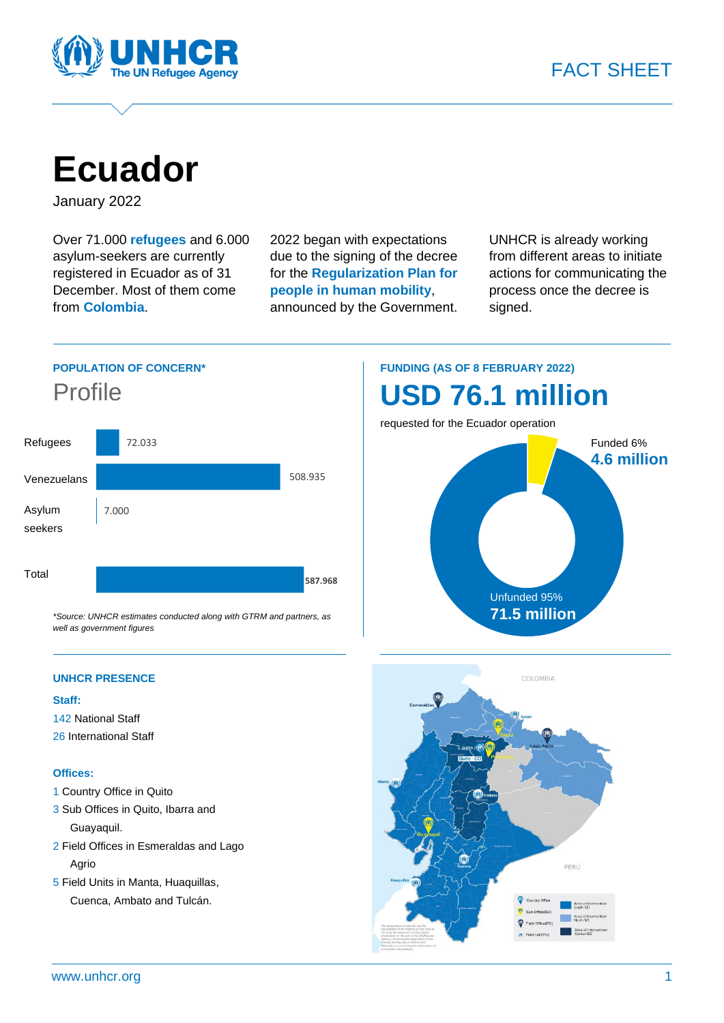

**Ecuador**

January 2022

Over 71.000 **refugees** and 6.000 asylum-seekers are currently registered in Ecuador as of 31 December. Most of them come from **Colombia**.

2022 began with expectations due to the signing of the decree for the **Regularization Plan for people in human mobility**, announced by the Government.

UNHCR is already working from different areas to initiate actions for communicating the process once the decree is signed.





## **Staff:**

- 142 National Staff
- 26 International Staff

## **Offices:**

- 1 Country Office in Quito
- 3 Sub Offices in Quito, Ibarra and Guayaquil.
- 2 Field Offices in Esmeraldas and Lago Agrio
- 5 Field Units in Manta, Huaquillas, Cuenca, Ambato and Tulcán.

## **FUNDING (AS OF 8 FEBRUARY 2022) USD 76.1 million**

requested for the Ecuador operation